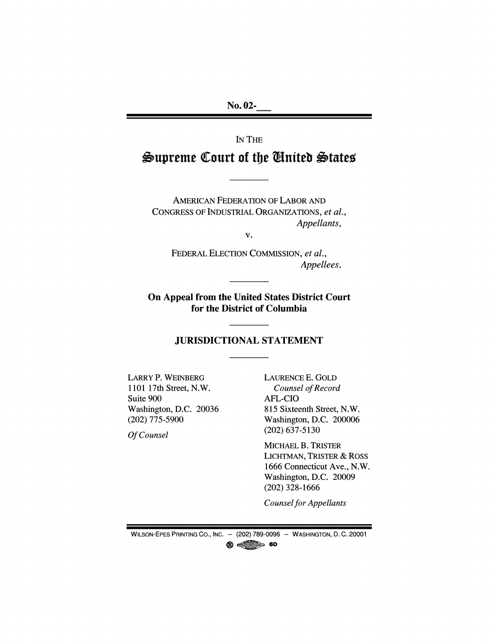**No. 02-**

IN THE

# Supreme Court of the Gnited States

**AMERICAN FEDERATION OF LABOR AND** CONGRESS OF INDUSTRIAL ORGANIZATIONS, et al., Appellants,

V.

FEDERAL ELECTION COMMISSION, et al., Appellees.

On Appeal from the United States District Court for the District of Columbia

## **JURISDICTIONAL STATEMENT**

**LARRY P. WEINBERG** 1101 17th Street, N.W. Suite 900 Washington, D.C. 20036  $(202)$  775-5900

Of Counsel

LAURENCE E. GOLD Counsel of Record **AFL-CIO** 815 Sixteenth Street, N.W. Washington, D.C. 200006  $(202)$  637-5130

MICHAEL B. TRISTER **LICHTMAN, TRISTER & ROSS** 1666 Connecticut Ave., N.W. Washington, D.C. 20009  $(202)$  328-1666

**Counsel for Appellants** 

WILSON-EPES PRINTING CO., INC. - (202) 789-0096 - WASHINGTON, D. C. 20001  $\circledR$  and  $\circledR$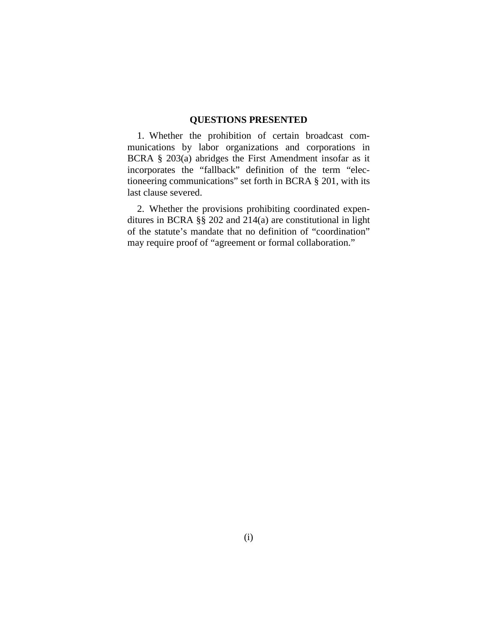#### **QUESTIONS PRESENTED**

1. Whether the prohibition of certain broadcast communications by labor organizations and corporations in BCRA § 203(a) abridges the First Amendment insofar as it incorporates the "fallback" definition of the term "electioneering communications" set forth in BCRA § 201, with its last clause severed.

2. Whether the provisions prohibiting coordinated expenditures in BCRA §§ 202 and 214(a) are constitutional in light of the statute's mandate that no definition of "coordination" may require proof of "agreement or formal collaboration."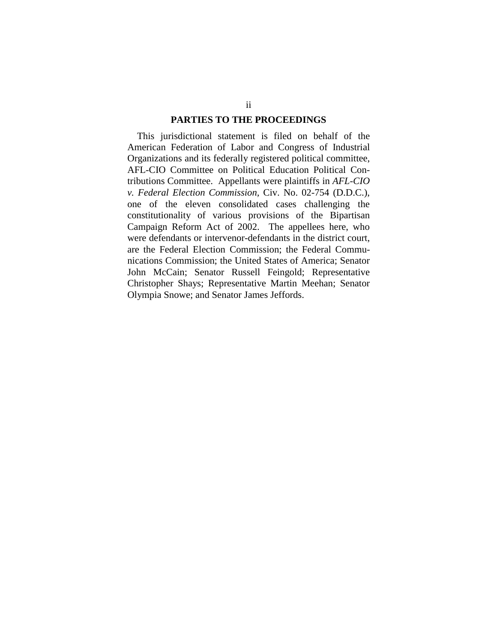#### **PARTIES TO THE PROCEEDINGS**

This jurisdictional statement is filed on behalf of the American Federation of Labor and Congress of Industrial Organizations and its federally registered political committee, AFL-CIO Committee on Political Education Political Contributions Committee. Appellants were plaintiffs in *AFL-CIO v. Federal Election Commission,* Civ. No. 02-754 (D.D.C.), one of the eleven consolidated cases challenging the constitutionality of various provisions of the Bipartisan Campaign Reform Act of 2002. The appellees here, who were defendants or intervenor-defendants in the district court, are the Federal Election Commission; the Federal Communications Commission; the United States of America; Senator John McCain; Senator Russell Feingold; Representative Christopher Shays; Representative Martin Meehan; Senator Olympia Snowe; and Senator James Jeffords.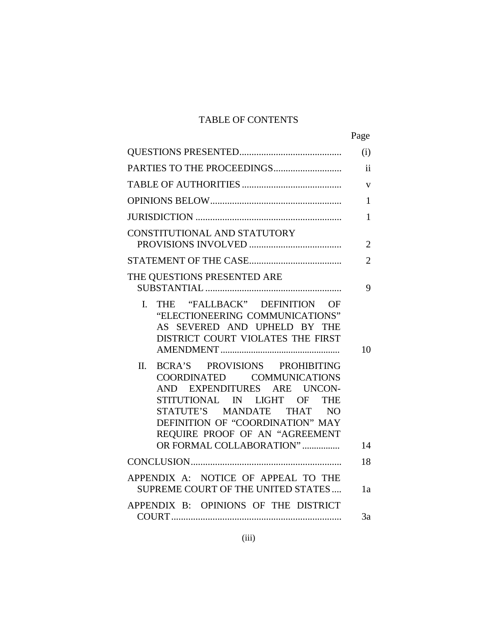# TABLE OF CONTENTS

|                                                                                                                                                                                                                                                                 | Page                |
|-----------------------------------------------------------------------------------------------------------------------------------------------------------------------------------------------------------------------------------------------------------------|---------------------|
|                                                                                                                                                                                                                                                                 | (i)                 |
|                                                                                                                                                                                                                                                                 | $\ddot{\mathbf{i}}$ |
|                                                                                                                                                                                                                                                                 | $\bar{\mathbf{V}}$  |
|                                                                                                                                                                                                                                                                 | $\mathbf{1}$        |
|                                                                                                                                                                                                                                                                 | 1                   |
| CONSTITUTIONAL AND STATUTORY                                                                                                                                                                                                                                    | $\overline{2}$      |
|                                                                                                                                                                                                                                                                 | $\overline{2}$      |
| THE QUESTIONS PRESENTED ARE                                                                                                                                                                                                                                     | 9                   |
| THE "FALLBACK" DEFINITION OF<br>$\mathbf{L}$<br>"ELECTIONEERING COMMUNICATIONS"<br>AS SEVERED AND UPHELD BY THE<br>DISTRICT COURT VIOLATES THE FIRST                                                                                                            | 10                  |
| BCRA'S PROVISIONS PROHIBITING<br>II.<br>COORDINATED COMMUNICATIONS<br>AND EXPENDITURES ARE UNCON-<br>STITUTIONAL IN LIGHT OF THE<br>STATUTE'S MANDATE THAT NO<br>DEFINITION OF "COORDINATION" MAY<br>REQUIRE PROOF OF AN "AGREEMENT<br>OR FORMAL COLLABORATION" | 14                  |
|                                                                                                                                                                                                                                                                 | 18                  |
| APPENDIX A: NOTICE OF APPEAL TO THE<br>SUPREME COURT OF THE UNITED STATES                                                                                                                                                                                       | 1a                  |
| APPENDIX B: OPINIONS OF THE DISTRICT                                                                                                                                                                                                                            | 3a                  |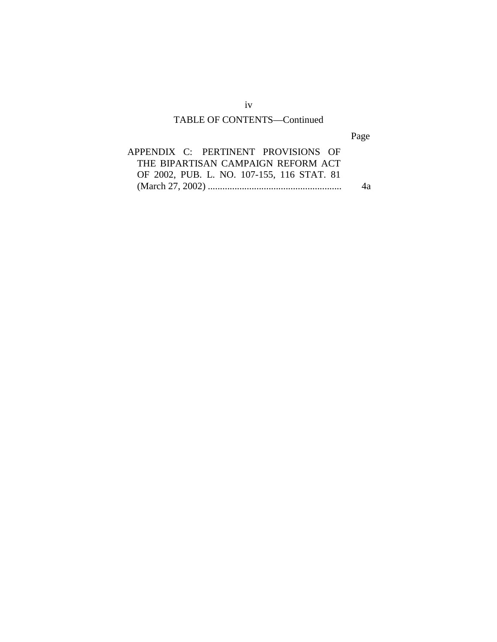# TABLE OF CONTENTS—Continued

Page

| APPENDIX C: PERTINENT PROVISIONS OF        |    |
|--------------------------------------------|----|
| THE BIPARTISAN CAMPAIGN REFORM ACT         |    |
| OF 2002, PUB. L. NO. 107-155, 116 STAT. 81 |    |
|                                            | 4a |

iv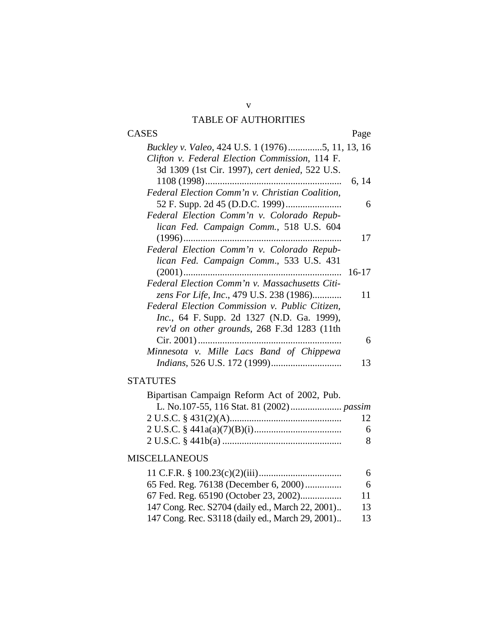# TABLE OF AUTHORITIES

| <b>CASES</b>                                                                                              | Page    |
|-----------------------------------------------------------------------------------------------------------|---------|
| <i>Buckley v. Valeo, 424 U.S. 1 (1976)5, 11, 13, 16</i><br>Clifton v. Federal Election Commission, 114 F. |         |
| 3d 1309 (1st Cir. 1997), cert denied, 522 U.S.                                                            |         |
| $1108(1998)$<br>                                                                                          | 6, 14   |
| Federal Election Comm'n v. Christian Coalition,                                                           | 6       |
| Federal Election Comm'n v. Colorado Repub-                                                                |         |
| lican Fed. Campaign Comm., 518 U.S. 604                                                                   | 17      |
| Federal Election Comm'n v. Colorado Repub-                                                                |         |
| lican Fed. Campaign Comm., 533 U.S. 431                                                                   | $16-17$ |
| Federal Election Comm'n v. Massachusetts Citi-                                                            |         |
| zens For Life, Inc., 479 U.S. 238 (1986)<br>Federal Election Commission v. Public Citizen,                | 11      |
| <i>Inc.</i> , 64 F. Supp. 2d 1327 (N.D. Ga. 1999),                                                        |         |
| rev'd on other grounds, 268 F.3d 1283 (11th                                                               |         |
| Minnesota v. Mille Lacs Band of Chippewa                                                                  | 6       |
|                                                                                                           | 13      |

# **STATUTES**

| Bipartisan Campaign Reform Act of 2002, Pub. |     |
|----------------------------------------------|-----|
|                                              |     |
|                                              | -12 |
|                                              | 6   |
|                                              | -8  |

# MISCELLANEOUS

|                                                  | 6  |
|--------------------------------------------------|----|
| 65 Fed. Reg. 76138 (December 6, 2000)            | 6  |
| 67 Fed. Reg. 65190 (October 23, 2002)            | 11 |
| 147 Cong. Rec. S2704 (daily ed., March 22, 2001) | 13 |
| 147 Cong. Rec. S3118 (daily ed., March 29, 2001) | 13 |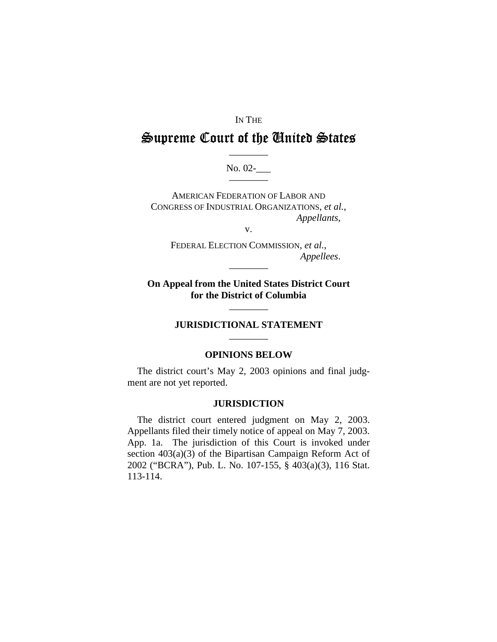#### IN THE

# Supreme Court of the United States

No. 02-

**AMERICAN FEDERATION OF LABOR AND** CONGRESS OF INDUSTRIAL ORGANIZATIONS, et al., Appellants,

 $V_{\star}$ 

FEDERAL ELECTION COMMISSION, et al., Appellees.

On Appeal from the United States District Court for the District of Columbia

## **JURISDICTIONAL STATEMENT**

#### **OPINIONS BELOW**

The district court's May 2, 2003 opinions and final judgment are not yet reported.

#### **JURISDICTION**

The district court entered judgment on May 2, 2003. Appellants filed their timely notice of appeal on May 7, 2003. App. 1a. The jurisdiction of this Court is invoked under section  $403(a)(3)$  of the Bipartisan Campaign Reform Act of 2002 ("BCRA"), Pub. L. No. 107-155, § 403(a)(3), 116 Stat.  $113 - 114.$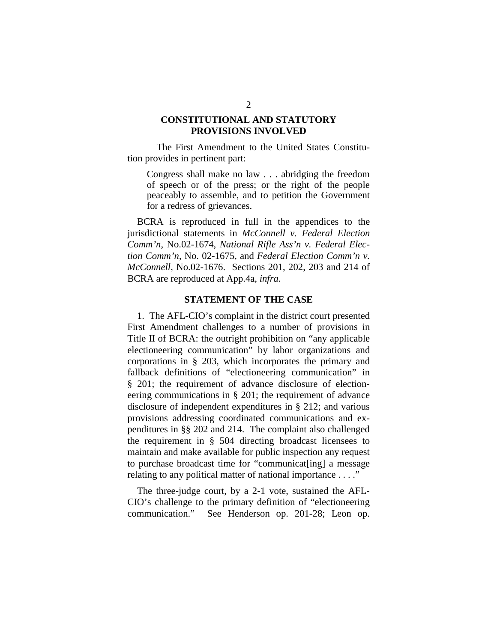#### **CONSTITUTIONAL AND STATUTORY PROVISIONS INVOLVED**

The First Amendment to the United States Constitution provides in pertinent part:

Congress shall make no law . . . abridging the freedom of speech or of the press; or the right of the people peaceably to assemble, and to petition the Government for a redress of grievances.

BCRA is reproduced in full in the appendices to the jurisdictional statements in *McConnell v. Federal Election Comm'n*, No.02-1674, *National Rifle Ass'n v. Federal Election Comm'n*, No. 02-1675, and *Federal Election Comm'n v. McConnell*, No.02-1676. Sections 201, 202, 203 and 214 of BCRA are reproduced at App.4a, *infra.* 

#### **STATEMENT OF THE CASE**

1. The AFL-CIO's complaint in the district court presented First Amendment challenges to a number of provisions in Title II of BCRA: the outright prohibition on "any applicable electioneering communication" by labor organizations and corporations in § 203, which incorporates the primary and fallback definitions of "electioneering communication" in § 201; the requirement of advance disclosure of electioneering communications in § 201; the requirement of advance disclosure of independent expenditures in § 212; and various provisions addressing coordinated communications and expenditures in §§ 202 and 214. The complaint also challenged the requirement in § 504 directing broadcast licensees to maintain and make available for public inspection any request to purchase broadcast time for "communicat[ing] a message relating to any political matter of national importance . . . ."

The three-judge court, by a 2-1 vote, sustained the AFL-CIO's challenge to the primary definition of "electioneering communication." See Henderson op. 201-28; Leon op.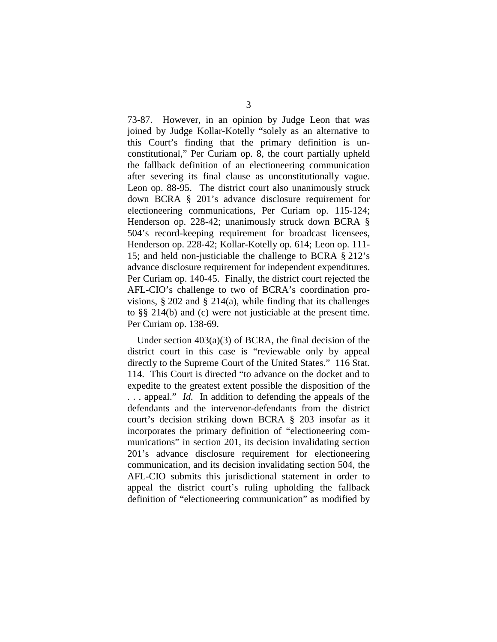73-87. However, in an opinion by Judge Leon that was joined by Judge Kollar-Kotelly "solely as an alternative to this Court's finding that the primary definition is unconstitutional," Per Curiam op. 8, the court partially upheld the fallback definition of an electioneering communication after severing its final clause as unconstitutionally vague. Leon op. 88-95. The district court also unanimously struck down BCRA § 201's advance disclosure requirement for electioneering communications, Per Curiam op. 115-124; Henderson op. 228-42; unanimously struck down BCRA § 504's record-keeping requirement for broadcast licensees, Henderson op. 228-42; Kollar-Kotelly op. 614; Leon op. 111- 15; and held non-justiciable the challenge to BCRA § 212's advance disclosure requirement for independent expenditures. Per Curiam op. 140-45. Finally, the district court rejected the AFL-CIO's challenge to two of BCRA's coordination provisions,  $\S 202$  and  $\S 214(a)$ , while finding that its challenges to §§ 214(b) and (c) were not justiciable at the present time. Per Curiam op. 138-69.

Under section 403(a)(3) of BCRA, the final decision of the district court in this case is "reviewable only by appeal directly to the Supreme Court of the United States." 116 Stat. 114. This Court is directed "to advance on the docket and to expedite to the greatest extent possible the disposition of the . . . appeal." *Id.* In addition to defending the appeals of the defendants and the intervenor-defendants from the district court's decision striking down BCRA § 203 insofar as it incorporates the primary definition of "electioneering communications" in section 201, its decision invalidating section 201's advance disclosure requirement for electioneering communication, and its decision invalidating section 504, the AFL-CIO submits this jurisdictional statement in order to appeal the district court's ruling upholding the fallback definition of "electioneering communication" as modified by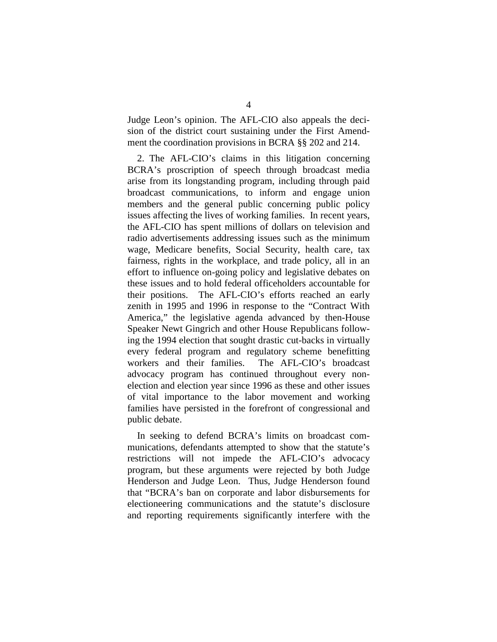Judge Leon's opinion. The AFL-CIO also appeals the decision of the district court sustaining under the First Amendment the coordination provisions in BCRA §§ 202 and 214.

2. The AFL-CIO's claims in this litigation concerning BCRA's proscription of speech through broadcast media arise from its longstanding program, including through paid broadcast communications, to inform and engage union members and the general public concerning public policy issues affecting the lives of working families. In recent years, the AFL-CIO has spent millions of dollars on television and radio advertisements addressing issues such as the minimum wage, Medicare benefits, Social Security, health care, tax fairness, rights in the workplace, and trade policy, all in an effort to influence on-going policy and legislative debates on these issues and to hold federal officeholders accountable for their positions. The AFL-CIO's efforts reached an early zenith in 1995 and 1996 in response to the "Contract With America," the legislative agenda advanced by then-House Speaker Newt Gingrich and other House Republicans following the 1994 election that sought drastic cut-backs in virtually every federal program and regulatory scheme benefitting workers and their families. The AFL-CIO's broadcast advocacy program has continued throughout every nonelection and election year since 1996 as these and other issues of vital importance to the labor movement and working families have persisted in the forefront of congressional and public debate.

In seeking to defend BCRA's limits on broadcast communications, defendants attempted to show that the statute's restrictions will not impede the AFL-CIO's advocacy program, but these arguments were rejected by both Judge Henderson and Judge Leon. Thus, Judge Henderson found that "BCRA's ban on corporate and labor disbursements for electioneering communications and the statute's disclosure and reporting requirements significantly interfere with the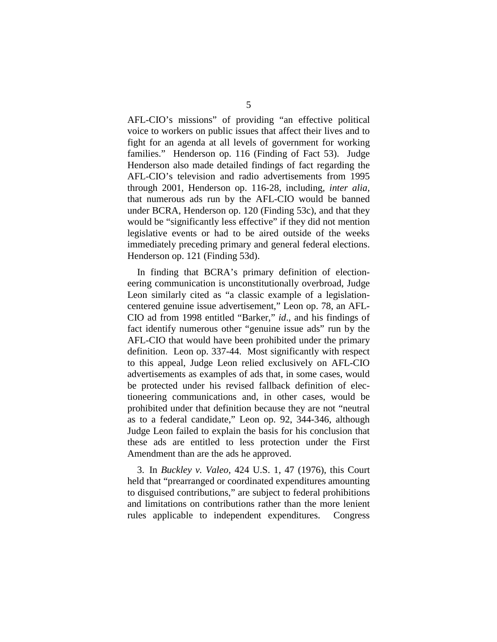AFL-CIO's missions" of providing "an effective political voice to workers on public issues that affect their lives and to fight for an agenda at all levels of government for working families." Henderson op. 116 (Finding of Fact 53). Judge Henderson also made detailed findings of fact regarding the AFL-CIO's television and radio advertisements from 1995 through 2001, Henderson op. 116-28, including, *inter alia,*  that numerous ads run by the AFL-CIO would be banned under BCRA, Henderson op. 120 (Finding 53c), and that they would be "significantly less effective" if they did not mention legislative events or had to be aired outside of the weeks immediately preceding primary and general federal elections. Henderson op. 121 (Finding 53d).

In finding that BCRA's primary definition of electioneering communication is unconstitutionally overbroad, Judge Leon similarly cited as "a classic example of a legislationcentered genuine issue advertisement," Leon op. 78, an AFL-CIO ad from 1998 entitled "Barker," *id*., and his findings of fact identify numerous other "genuine issue ads" run by the AFL-CIO that would have been prohibited under the primary definition. Leon op. 337-44. Most significantly with respect to this appeal, Judge Leon relied exclusively on AFL-CIO advertisements as examples of ads that, in some cases, would be protected under his revised fallback definition of electioneering communications and, in other cases, would be prohibited under that definition because they are not "neutral as to a federal candidate," Leon op. 92, 344-346, although Judge Leon failed to explain the basis for his conclusion that these ads are entitled to less protection under the First Amendment than are the ads he approved.

3. In *Buckley v. Valeo*, 424 U.S. 1, 47 (1976), this Court held that "prearranged or coordinated expenditures amounting to disguised contributions," are subject to federal prohibitions and limitations on contributions rather than the more lenient rules applicable to independent expenditures. Congress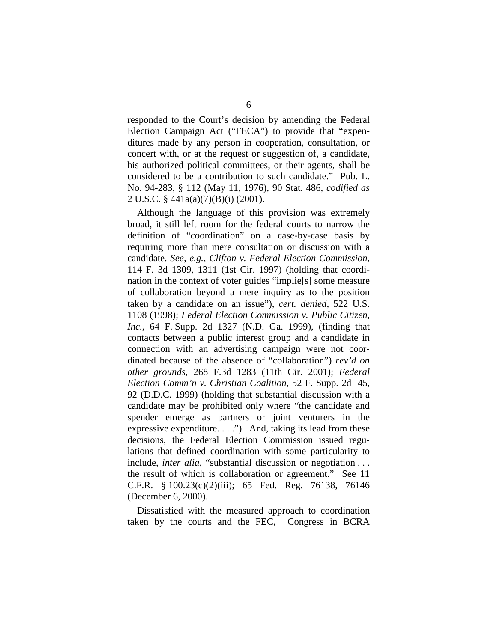responded to the Court's decision by amending the Federal Election Campaign Act ("FECA") to provide that "expenditures made by any person in cooperation, consultation, or concert with, or at the request or suggestion of, a candidate, his authorized political committees, or their agents, shall be considered to be a contribution to such candidate." Pub. L. No. 94-283, § 112 (May 11, 1976), 90 Stat. 486, *codified as*  2 U.S.C. § 441a(a)(7)(B)(i) (2001).

Although the language of this provision was extremely broad, it still left room for the federal courts to narrow the definition of "coordination" on a case-by-case basis by requiring more than mere consultation or discussion with a candidate. *See, e.g.*, *Clifton v. Federal Election Commission*, 114 F. 3d 1309, 1311 (1st Cir. 1997) (holding that coordination in the context of voter guides "implie[s] some measure of collaboration beyond a mere inquiry as to the position taken by a candidate on an issue"), *cert. denied*, 522 U.S. 1108 (1998); *Federal Election Commission v. Public Citizen, Inc.,* 64 F. Supp. 2d 1327 (N.D. Ga. 1999), (finding that contacts between a public interest group and a candidate in connection with an advertising campaign were not coordinated because of the absence of "collaboration") *rev'd on other grounds*, 268 F.3d 1283 (11th Cir. 2001); *Federal Election Comm'n v. Christian Coalition*, 52 F. Supp. 2d 45, 92 (D.D.C. 1999) (holding that substantial discussion with a candidate may be prohibited only where "the candidate and spender emerge as partners or joint venturers in the expressive expenditure. . . ."). And, taking its lead from these decisions, the Federal Election Commission issued regulations that defined coordination with some particularity to include, *inter alia*, "substantial discussion or negotiation ... the result of which is collaboration or agreement." See 11 C.F.R. § 100.23(c)(2)(iii); 65 Fed. Reg. 76138, 76146 (December 6, 2000).

Dissatisfied with the measured approach to coordination taken by the courts and the FEC, Congress in BCRA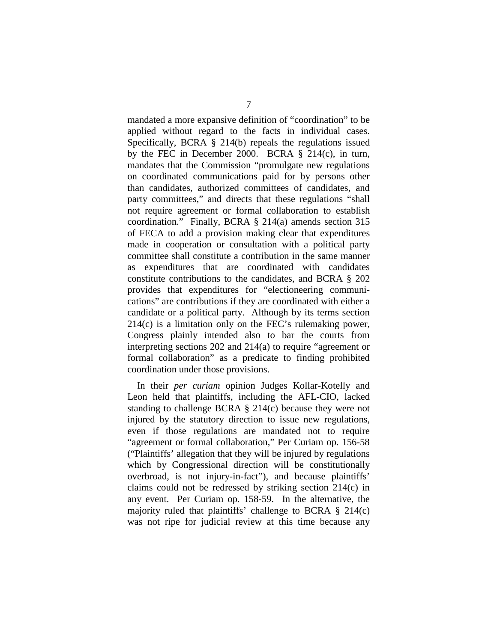mandated a more expansive definition of "coordination" to be applied without regard to the facts in individual cases. Specifically, BCRA § 214(b) repeals the regulations issued by the FEC in December 2000. BCRA  $\S$  214(c), in turn, mandates that the Commission "promulgate new regulations on coordinated communications paid for by persons other than candidates, authorized committees of candidates, and party committees," and directs that these regulations "shall not require agreement or formal collaboration to establish coordination." Finally, BCRA § 214(a) amends section 315 of FECA to add a provision making clear that expenditures made in cooperation or consultation with a political party committee shall constitute a contribution in the same manner as expenditures that are coordinated with candidates constitute contributions to the candidates, and BCRA § 202 provides that expenditures for "electioneering communications" are contributions if they are coordinated with either a candidate or a political party. Although by its terms section 214(c) is a limitation only on the FEC's rulemaking power, Congress plainly intended also to bar the courts from interpreting sections 202 and 214(a) to require "agreement or formal collaboration" as a predicate to finding prohibited coordination under those provisions.

In their *per curiam* opinion Judges Kollar-Kotelly and Leon held that plaintiffs, including the AFL-CIO, lacked standing to challenge BCRA § 214(c) because they were not injured by the statutory direction to issue new regulations, even if those regulations are mandated not to require "agreement or formal collaboration," Per Curiam op. 156-58 ("Plaintiffs' allegation that they will be injured by regulations which by Congressional direction will be constitutionally overbroad, is not injury-in-fact"), and because plaintiffs' claims could not be redressed by striking section 214(c) in any event. Per Curiam op. 158-59. In the alternative, the majority ruled that plaintiffs' challenge to BCRA  $\S$  214(c) was not ripe for judicial review at this time because any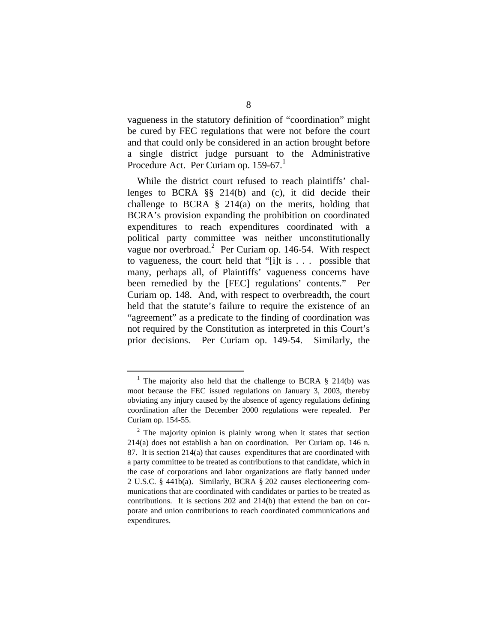vagueness in the statutory definition of "coordination" might be cured by FEC regulations that were not before the court and that could only be considered in an action brought before a single district judge pursuant to the Administrative Procedure Act. Per Curiam op. 159-67.

While the district court refused to reach plaintiffs' challenges to BCRA §§ 214(b) and (c), it did decide their challenge to BCRA  $\S$  214(a) on the merits, holding that BCRA's provision expanding the prohibition on coordinated expenditures to reach expenditures coordinated with a political party committee was neither unconstitutionally vague nor overbroad.<sup>2</sup> Per Curiam op. 146-54. With respect to vagueness, the court held that "[i]t is . . . possible that many, perhaps all, of Plaintiffs' vagueness concerns have been remedied by the [FEC] regulations' contents." Per Curiam op. 148. And, with respect to overbreadth, the court held that the statute's failure to require the existence of an "agreement" as a predicate to the finding of coordination was not required by the Constitution as interpreted in this Court's prior decisions. Per Curiam op. 149-54. Similarly, the

<sup>&</sup>lt;sup>1</sup> The majority also held that the challenge to BCRA § 214(b) was moot because the FEC issued regulations on January 3, 2003, thereby obviating any injury caused by the absence of agency regulations defining coordination after the December 2000 regulations were repealed. Per Curiam op. 154-55.

 $2$  The majority opinion is plainly wrong when it states that section 214(a) does not establish a ban on coordination. Per Curiam op. 146 n. 87. It is section 214(a) that causes expenditures that are coordinated with a party committee to be treated as contributions to that candidate, which in the case of corporations and labor organizations are flatly banned under 2 U.S.C. § 441b(a). Similarly, BCRA § 202 causes electioneering communications that are coordinated with candidates or parties to be treated as contributions. It is sections 202 and 214(b) that extend the ban on corporate and union contributions to reach coordinated communications and expenditures.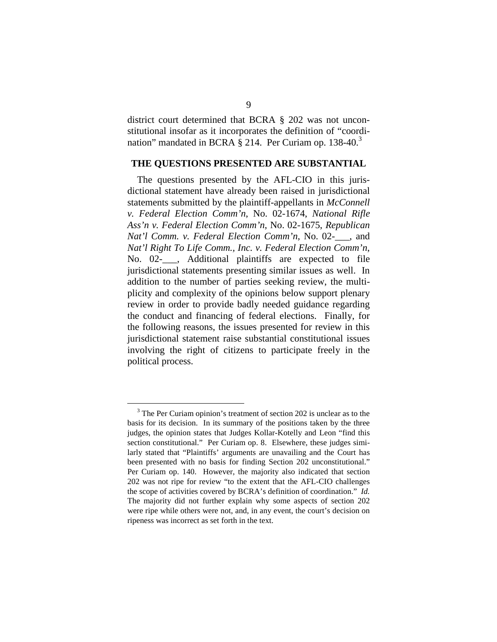district court determined that BCRA § 202 was not unconstitutional insofar as it incorporates the definition of "coordination" mandated in BCRA  $\S$  214. Per Curiam op. 138-40.<sup>3</sup>

#### **THE QUESTIONS PRESENTED ARE SUBSTANTIAL**

The questions presented by the AFL-CIO in this jurisdictional statement have already been raised in jurisdictional statements submitted by the plaintiff-appellants in *McConnell v. Federal Election Comm'n*, No. 02-1674, *National Rifle Ass'n v. Federal Election Comm'n*, No. 02-1675, *Republican Nat'l Comm. v. Federal Election Comm'n*, No. 02-\_\_\_, and *Nat'l Right To Life Comm., Inc. v. Federal Election Comm'n*, No. 02- , Additional plaintiffs are expected to file jurisdictional statements presenting similar issues as well. In addition to the number of parties seeking review, the multiplicity and complexity of the opinions below support plenary review in order to provide badly needed guidance regarding the conduct and financing of federal elections. Finally, for the following reasons, the issues presented for review in this jurisdictional statement raise substantial constitutional issues involving the right of citizens to participate freely in the political process.

<sup>&</sup>lt;sup>3</sup> The Per Curiam opinion's treatment of section 202 is unclear as to the basis for its decision. In its summary of the positions taken by the three judges, the opinion states that Judges Kollar-Kotelly and Leon "find this section constitutional." Per Curiam op. 8. Elsewhere, these judges similarly stated that "Plaintiffs' arguments are unavailing and the Court has been presented with no basis for finding Section 202 unconstitutional." Per Curiam op. 140. However, the majority also indicated that section 202 was not ripe for review "to the extent that the AFL-CIO challenges the scope of activities covered by BCRA's definition of coordination." *Id.*  The majority did not further explain why some aspects of section 202 were ripe while others were not, and, in any event, the court's decision on ripeness was incorrect as set forth in the text.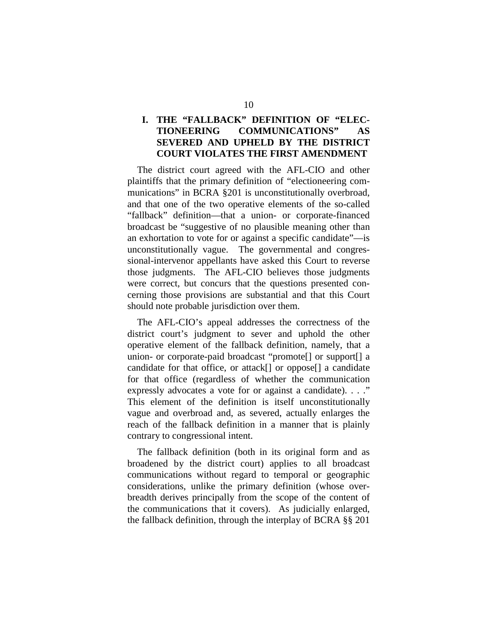# **I. THE "FALLBACK" DEFINITION OF "ELEC-TIONEERING COMMUNICATIONS" AS SEVERED AND UPHELD BY THE DISTRICT COURT VIOLATES THE FIRST AMENDMENT**

The district court agreed with the AFL-CIO and other plaintiffs that the primary definition of "electioneering communications" in BCRA §201 is unconstitutionally overbroad, and that one of the two operative elements of the so-called "fallback" definition—that a union- or corporate-financed broadcast be "suggestive of no plausible meaning other than an exhortation to vote for or against a specific candidate"—is unconstitutionally vague. The governmental and congressional-intervenor appellants have asked this Court to reverse those judgments. The AFL-CIO believes those judgments were correct, but concurs that the questions presented concerning those provisions are substantial and that this Court should note probable jurisdiction over them.

The AFL-CIO's appeal addresses the correctness of the district court's judgment to sever and uphold the other operative element of the fallback definition, namely, that a union- or corporate-paid broadcast "promote[] or support[] a candidate for that office, or attack[] or oppose[] a candidate for that office (regardless of whether the communication expressly advocates a vote for or against a candidate). . . ." This element of the definition is itself unconstitutionally vague and overbroad and, as severed, actually enlarges the reach of the fallback definition in a manner that is plainly contrary to congressional intent.

The fallback definition (both in its original form and as broadened by the district court) applies to all broadcast communications without regard to temporal or geographic considerations, unlike the primary definition (whose overbreadth derives principally from the scope of the content of the communications that it covers). As judicially enlarged, the fallback definition, through the interplay of BCRA §§ 201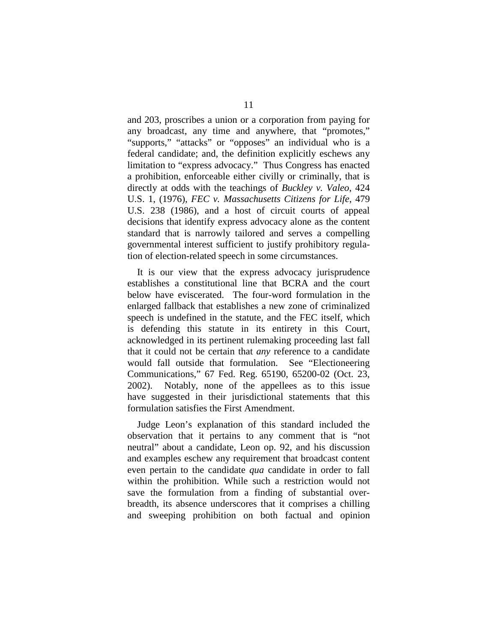and 203, proscribes a union or a corporation from paying for any broadcast, any time and anywhere, that "promotes," "supports," "attacks" or "opposes" an individual who is a federal candidate; and, the definition explicitly eschews any limitation to "express advocacy." Thus Congress has enacted a prohibition, enforceable either civilly or criminally, that is directly at odds with the teachings of *Buckley v. Valeo*, 424 U.S. 1, (1976), *FEC v. Massachusetts Citizens for Life*, 479 U.S. 238 (1986), and a host of circuit courts of appeal decisions that identify express advocacy alone as the content standard that is narrowly tailored and serves a compelling governmental interest sufficient to justify prohibitory regulation of election-related speech in some circumstances.

It is our view that the express advocacy jurisprudence establishes a constitutional line that BCRA and the court below have eviscerated. The four-word formulation in the enlarged fallback that establishes a new zone of criminalized speech is undefined in the statute, and the FEC itself, which is defending this statute in its entirety in this Court, acknowledged in its pertinent rulemaking proceeding last fall that it could not be certain that *any* reference to a candidate would fall outside that formulation. See "Electioneering Communications," 67 Fed. Reg. 65190, 65200-02 (Oct. 23, 2002). Notably, none of the appellees as to this issue have suggested in their jurisdictional statements that this formulation satisfies the First Amendment.

Judge Leon's explanation of this standard included the observation that it pertains to any comment that is "not neutral" about a candidate, Leon op. 92, and his discussion and examples eschew any requirement that broadcast content even pertain to the candidate *qua* candidate in order to fall within the prohibition. While such a restriction would not save the formulation from a finding of substantial overbreadth, its absence underscores that it comprises a chilling and sweeping prohibition on both factual and opinion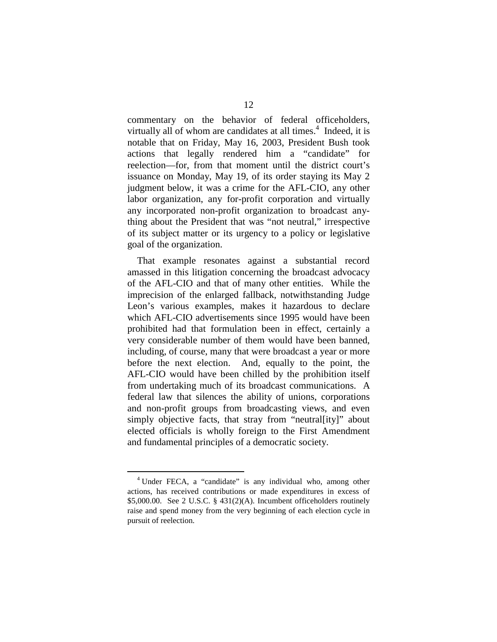commentary on the behavior of federal officeholders, virtually all of whom are candidates at all times. $4$  Indeed, it is notable that on Friday, May 16, 2003, President Bush took actions that legally rendered him a "candidate" for reelection—for, from that moment until the district court's issuance on Monday, May 19, of its order staying its May 2 judgment below, it was a crime for the AFL-CIO, any other labor organization, any for-profit corporation and virtually any incorporated non-profit organization to broadcast anything about the President that was "not neutral," irrespective of its subject matter or its urgency to a policy or legislative goal of the organization.

That example resonates against a substantial record amassed in this litigation concerning the broadcast advocacy of the AFL-CIO and that of many other entities. While the imprecision of the enlarged fallback, notwithstanding Judge Leon's various examples, makes it hazardous to declare which AFL-CIO advertisements since 1995 would have been prohibited had that formulation been in effect, certainly a very considerable number of them would have been banned, including, of course, many that were broadcast a year or more before the next election. And, equally to the point, the AFL-CIO would have been chilled by the prohibition itself from undertaking much of its broadcast communications. A federal law that silences the ability of unions, corporations and non-profit groups from broadcasting views, and even simply objective facts, that stray from "neutral[ity]" about elected officials is wholly foreign to the First Amendment and fundamental principles of a democratic society.

<sup>&</sup>lt;sup>4</sup> Under FECA, a "candidate" is any individual who, among other actions, has received contributions or made expenditures in excess of \$5,000.00. See 2 U.S.C. § 431(2)(A). Incumbent officeholders routinely raise and spend money from the very beginning of each election cycle in pursuit of reelection.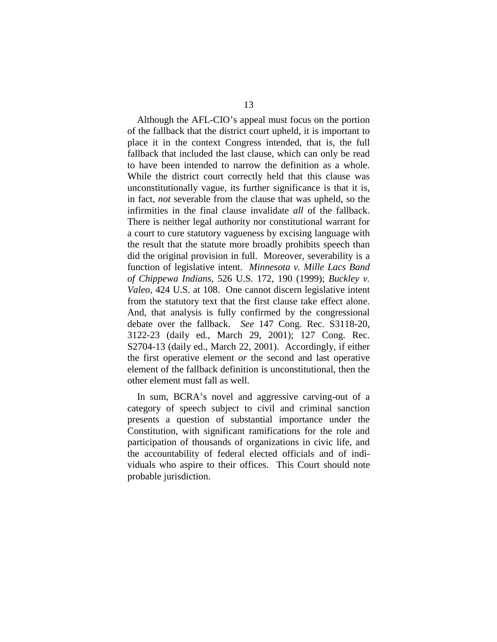Although the AFL-CIO's appeal must focus on the portion of the fallback that the district court upheld, it is important to place it in the context Congress intended, that is, the full fallback that included the last clause, which can only be read to have been intended to narrow the definition as a whole. While the district court correctly held that this clause was unconstitutionally vague, its further significance is that it is, in fact, *not* severable from the clause that was upheld, so the infirmities in the final clause invalidate *all* of the fallback. There is neither legal authority nor constitutional warrant for a court to cure statutory vagueness by excising language with the result that the statute more broadly prohibits speech than did the original provision in full. Moreover, severability is a function of legislative intent. *Minnesota v. Mille Lacs Band of Chippewa Indians*, 526 U.S. 172, 190 (1999); *Buckley v. Valeo*, 424 U.S. at 108. One cannot discern legislative intent from the statutory text that the first clause take effect alone. And, that analysis is fully confirmed by the congressional debate over the fallback. *See* 147 Cong. Rec. S3118-20, 3122-23 (daily ed., March 29, 2001); 127 Cong. Rec. S2704-13 (daily ed., March 22, 2001). Accordingly, if either the first operative element *or* the second and last operative element of the fallback definition is unconstitutional, then the other element must fall as well.

In sum, BCRA's novel and aggressive carving-out of a category of speech subject to civil and criminal sanction presents a question of substantial importance under the Constitution, with significant ramifications for the role and participation of thousands of organizations in civic life, and the accountability of federal elected officials and of individuals who aspire to their offices. This Court should note probable jurisdiction.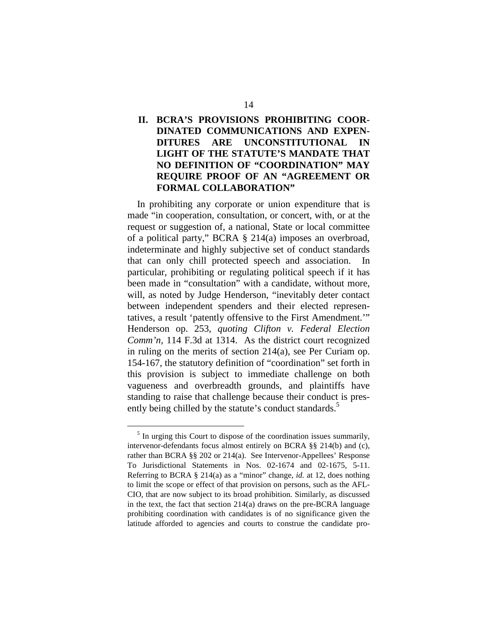# **II. BCRA'S PROVISIONS PROHIBITING COOR-DINATED COMMUNICATIONS AND EXPEN-DITURES ARE UNCONSTITUTIONAL IN LIGHT OF THE STATUTE'S MANDATE THAT NO DEFINITION OF "COORDINATION" MAY REQUIRE PROOF OF AN "AGREEMENT OR FORMAL COLLABORATION"**

In prohibiting any corporate or union expenditure that is made "in cooperation, consultation, or concert, with, or at the request or suggestion of, a national, State or local committee of a political party," BCRA § 214(a) imposes an overbroad, indeterminate and highly subjective set of conduct standards that can only chill protected speech and association. In particular, prohibiting or regulating political speech if it has been made in "consultation" with a candidate, without more, will, as noted by Judge Henderson, "inevitably deter contact between independent spenders and their elected representatives, a result 'patently offensive to the First Amendment.'" Henderson op. 253, *quoting Clifton v. Federal Election Comm'n,* 114 F.3d at 1314. As the district court recognized in ruling on the merits of section 214(a), see Per Curiam op. 154-167, the statutory definition of "coordination" set forth in this provision is subject to immediate challenge on both vagueness and overbreadth grounds, and plaintiffs have standing to raise that challenge because their conduct is presently being chilled by the statute's conduct standards.<sup>5</sup>

<sup>&</sup>lt;sup>5</sup> In urging this Court to dispose of the coordination issues summarily, intervenor-defendants focus almost entirely on BCRA §§ 214(b) and (c), rather than BCRA §§ 202 or 214(a). See Intervenor-Appellees' Response To Jurisdictional Statements in Nos. 02-1674 and 02-1675, 5-11. Referring to BCRA § 214(a) as a "minor" change, *id.* at 12, does nothing to limit the scope or effect of that provision on persons, such as the AFL-CIO, that are now subject to its broad prohibition. Similarly, as discussed in the text, the fact that section 214(a) draws on the pre-BCRA language prohibiting coordination with candidates is of no significance given the latitude afforded to agencies and courts to construe the candidate pro-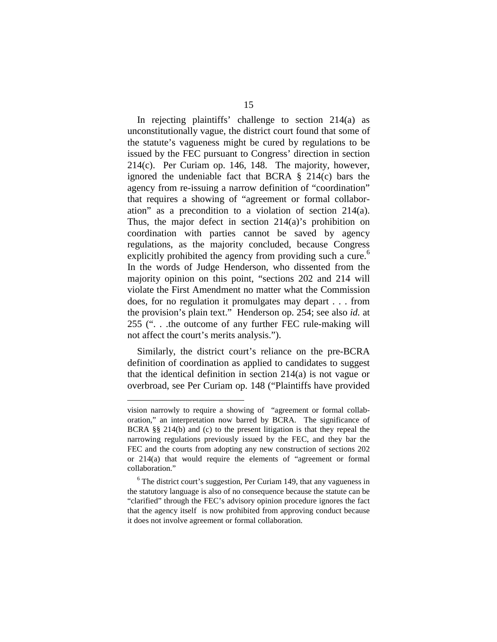In rejecting plaintiffs' challenge to section 214(a) as unconstitutionally vague, the district court found that some of the statute's vagueness might be cured by regulations to be issued by the FEC pursuant to Congress' direction in section 214(c). Per Curiam op. 146, 148. The majority, however, ignored the undeniable fact that BCRA § 214(c) bars the agency from re-issuing a narrow definition of "coordination" that requires a showing of "agreement or formal collaboration" as a precondition to a violation of section 214(a). Thus, the major defect in section 214(a)'s prohibition on coordination with parties cannot be saved by agency regulations, as the majority concluded, because Congress explicitly prohibited the agency from providing such a cure.<sup>6</sup> In the words of Judge Henderson, who dissented from the majority opinion on this point, "sections 202 and 214 will violate the First Amendment no matter what the Commission does, for no regulation it promulgates may depart . . . from the provision's plain text." Henderson op. 254; see also *id.* at 255 (". . .the outcome of any further FEC rule-making will not affect the court's merits analysis.").

Similarly, the district court's reliance on the pre-BCRA definition of coordination as applied to candidates to suggest that the identical definition in section 214(a) is not vague or overbroad, see Per Curiam op. 148 ("Plaintiffs have provided

vision narrowly to require a showing of "agreement or formal collaboration," an interpretation now barred by BCRA. The significance of BCRA §§ 214(b) and (c) to the present litigation is that they repeal the narrowing regulations previously issued by the FEC, and they bar the FEC and the courts from adopting any new construction of sections 202 or 214(a) that would require the elements of "agreement or formal collaboration."

<sup>&</sup>lt;sup>6</sup> The district court's suggestion, Per Curiam 149, that any vagueness in the statutory language is also of no consequence because the statute can be "clarified" through the FEC's advisory opinion procedure ignores the fact that the agency itself is now prohibited from approving conduct because it does not involve agreement or formal collaboration.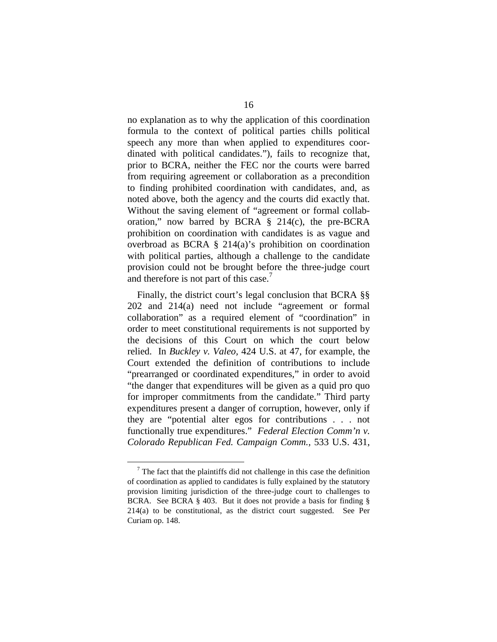no explanation as to why the application of this coordination formula to the context of political parties chills political speech any more than when applied to expenditures coordinated with political candidates."), fails to recognize that, prior to BCRA, neither the FEC nor the courts were barred from requiring agreement or collaboration as a precondition to finding prohibited coordination with candidates, and, as noted above, both the agency and the courts did exactly that. Without the saving element of "agreement or formal collaboration," now barred by BCRA § 214(c), the pre-BCRA prohibition on coordination with candidates is as vague and overbroad as BCRA § 214(a)'s prohibition on coordination with political parties, although a challenge to the candidate provision could not be brought before the three-judge court and therefore is not part of this case.<sup>7</sup>

Finally, the district court's legal conclusion that BCRA §§ 202 and 214(a) need not include "agreement or formal collaboration" as a required element of "coordination" in order to meet constitutional requirements is not supported by the decisions of this Court on which the court below relied. In *Buckley v. Valeo,* 424 U.S. at 47, for example, the Court extended the definition of contributions to include "prearranged or coordinated expenditures," in order to avoid "the danger that expenditures will be given as a quid pro quo for improper commitments from the candidate." Third party expenditures present a danger of corruption, however, only if they are "potential alter egos for contributions . . . not functionally true expenditures." *Federal Election Comm'n v. Colorado Republican Fed. Campaign Comm.,* 533 U.S. 431,

 $7$  The fact that the plaintiffs did not challenge in this case the definition of coordination as applied to candidates is fully explained by the statutory provision limiting jurisdiction of the three-judge court to challenges to BCRA. See BCRA § 403. But it does not provide a basis for finding § 214(a) to be constitutional, as the district court suggested. See Per Curiam op. 148.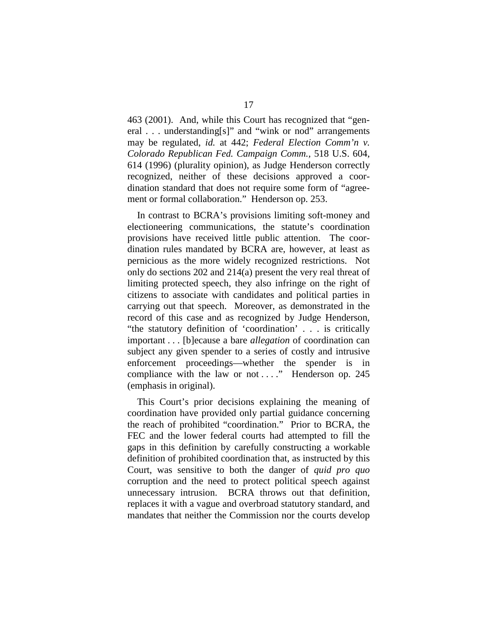463 (2001). And, while this Court has recognized that "general . . . understanding[s]" and "wink or nod" arrangements may be regulated, *id.* at 442; *Federal Election Comm'n v. Colorado Republican Fed. Campaign Comm.,* 518 U.S. 604, 614 (1996) (plurality opinion), as Judge Henderson correctly recognized, neither of these decisions approved a coordination standard that does not require some form of "agreement or formal collaboration." Henderson op. 253.

In contrast to BCRA's provisions limiting soft-money and electioneering communications, the statute's coordination provisions have received little public attention. The coordination rules mandated by BCRA are, however, at least as pernicious as the more widely recognized restrictions. Not only do sections 202 and 214(a) present the very real threat of limiting protected speech, they also infringe on the right of citizens to associate with candidates and political parties in carrying out that speech. Moreover, as demonstrated in the record of this case and as recognized by Judge Henderson, "the statutory definition of 'coordination' . . . is critically important . . . [b]ecause a bare *allegation* of coordination can subject any given spender to a series of costly and intrusive enforcement proceedings—whether the spender is in compliance with the law or not ...." Henderson op. 245 (emphasis in original).

This Court's prior decisions explaining the meaning of coordination have provided only partial guidance concerning the reach of prohibited "coordination." Prior to BCRA, the FEC and the lower federal courts had attempted to fill the gaps in this definition by carefully constructing a workable definition of prohibited coordination that, as instructed by this Court, was sensitive to both the danger of *quid pro quo*  corruption and the need to protect political speech against unnecessary intrusion. BCRA throws out that definition, replaces it with a vague and overbroad statutory standard, and mandates that neither the Commission nor the courts develop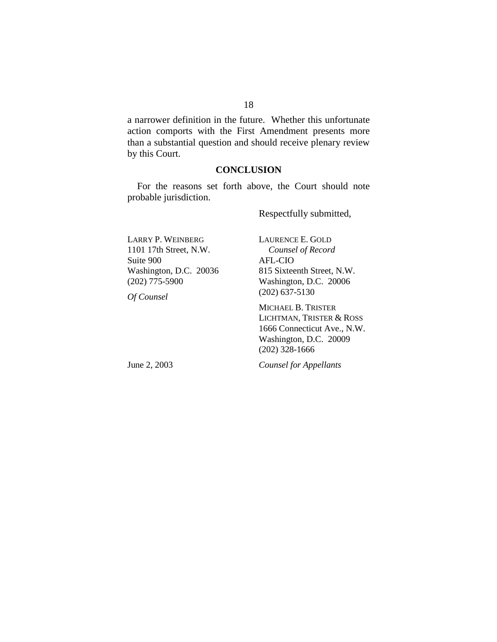a narrower definition in the future. Whether this unfortunate action comports with the First Amendment presents more than a substantial question and should receive plenary review by this Court.

#### **CONCLUSION**

For the reasons set forth above, the Court should note probable jurisdiction.

Respectfully submitted,

LAURENCE E. GOLD

LARRY P. WEINBERG 1101 17th Street, N.W. Suite 900 Washington, D.C. 20036 (202) 775-5900

*Counsel of Record*  AFL-CIO 815 Sixteenth Street, N.W. Washington, D.C. 20006 (202) 637-5130

MICHAEL B. TRISTER LICHTMAN, TRISTER & ROSS 1666 Connecticut Ave., N.W. Washington, D.C. 20009 (202) 328-1666

June 2, 2003

*Of Counsel* 

*Counsel for Appellants*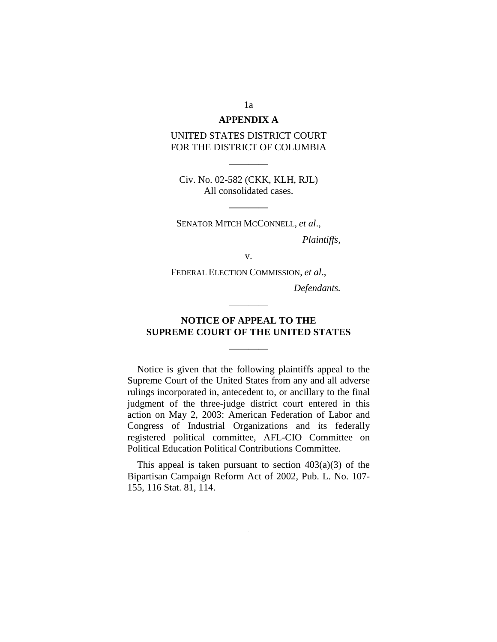#### **APPENDIX A**

#### UNITED STATES DISTRICT COURT FOR THE DISTRICT OF COLUMBIA

Civ. No. 02-582 (CKK, KLH, RJL) All consolidated cases.

**————** 

SENATOR MITCH MCCONNELL*, et al*.,

**————** 

*Plaintiffs,* 

v.

FEDERAL ELECTION COMMISSION, *et al*.,

*Defendants.* 

## **NOTICE OF APPEAL TO THE SUPREME COURT OF THE UNITED STATES**

**————** 

————

Notice is given that the following plaintiffs appeal to the Supreme Court of the United States from any and all adverse rulings incorporated in, antecedent to, or ancillary to the final judgment of the three-judge district court entered in this action on May 2, 2003: American Federation of Labor and Congress of Industrial Organizations and its federally registered political committee, AFL-CIO Committee on Political Education Political Contributions Committee.

This appeal is taken pursuant to section  $403(a)(3)$  of the Bipartisan Campaign Reform Act of 2002, Pub. L. No. 107- 155, 116 Stat. 81, 114.

1a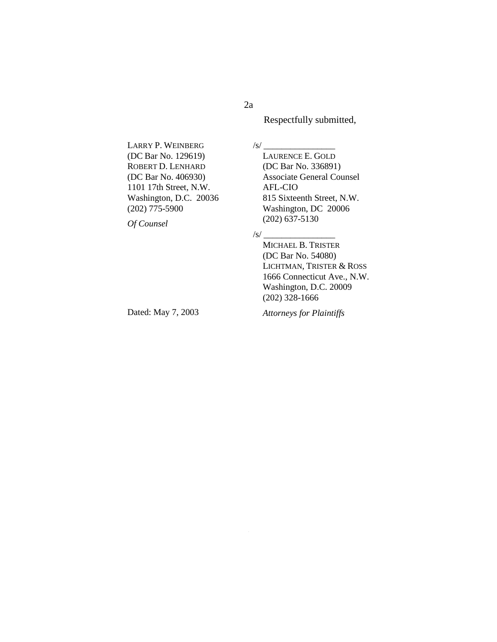2a

Respectfully submitted,

LARRY P. WEINBERG (DC Bar No. 129619) ROBERT D. LENHARD (DC Bar No. 406930) 1101 17th Street, N.W. Washington, D.C. 20036 (202) 775-5900

*Of Counsel* 

 $\sqrt{s}/\sqrt{s}$ LAURENCE E. GOLD (DC Bar No. 336891) Associate General Counsel AFL-CIO 815 Sixteenth Street, N.W. Washington, DC 20006 (202) 637-5130

#### $/s/$   $-$

MICHAEL B. TRISTER (DC Bar No. 54080) LICHTMAN, TRISTER & ROSS 1666 Connecticut Ave., N.W. Washington, D.C. 20009 (202) 328-1666

Dated: May 7, 2003

*Attorneys for Plaintiffs*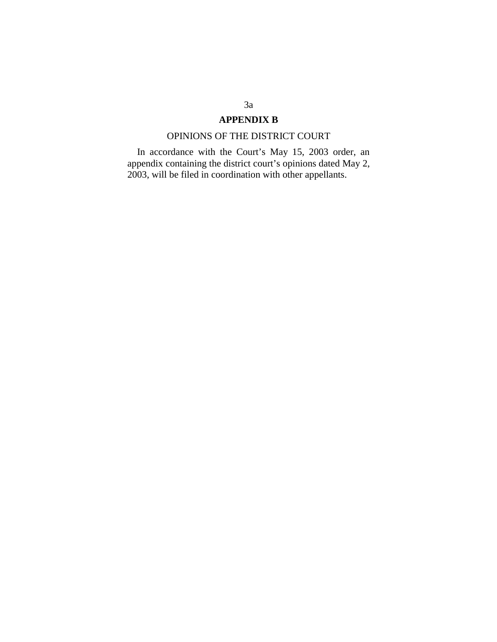# **APPENDIX B**

# OPINIONS OF THE DISTRICT COURT

In accordance with the Court's May 15, 2003 order, an appendix containing the district court's opinions dated May 2, 2003, will be filed in coordination with other appellants.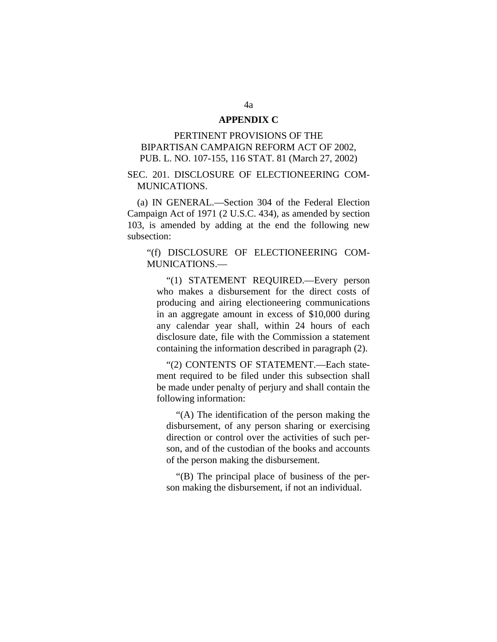#### **APPENDIX C**

## PERTINENT PROVISIONS OF THE BIPARTISAN CAMPAIGN REFORM ACT OF 2002, PUB. L. NO. 107-155, 116 STAT. 81 (March 27, 2002)

## SEC. 201. DISCLOSURE OF ELECTIONEERING COM-MUNICATIONS.

(a) IN GENERAL.—Section 304 of the Federal Election Campaign Act of 1971 (2 U.S.C. 434), as amended by section 103, is amended by adding at the end the following new subsection:

#### "(f) DISCLOSURE OF ELECTIONEERING COM-MUNICATIONS.—

"(1) STATEMENT REQUIRED.—Every person who makes a disbursement for the direct costs of producing and airing electioneering communications in an aggregate amount in excess of \$10,000 during any calendar year shall, within 24 hours of each disclosure date, file with the Commission a statement containing the information described in paragraph (2).

"(2) CONTENTS OF STATEMENT.—Each statement required to be filed under this subsection shall be made under penalty of perjury and shall contain the following information:

"(A) The identification of the person making the disbursement, of any person sharing or exercising direction or control over the activities of such person, and of the custodian of the books and accounts of the person making the disbursement.

"(B) The principal place of business of the person making the disbursement, if not an individual.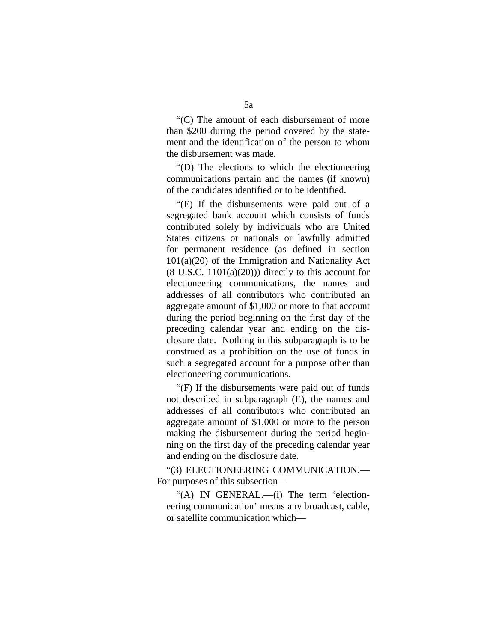"(C) The amount of each disbursement of more than \$200 during the period covered by the statement and the identification of the person to whom the disbursement was made.

"(D) The elections to which the electioneering communications pertain and the names (if known) of the candidates identified or to be identified.

"(E) If the disbursements were paid out of a segregated bank account which consists of funds contributed solely by individuals who are United States citizens or nationals or lawfully admitted for permanent residence (as defined in section 101(a)(20) of the Immigration and Nationality Act  $(8 \text{ U.S.C. } 1101(a)(20))$  directly to this account for electioneering communications, the names and addresses of all contributors who contributed an aggregate amount of \$1,000 or more to that account during the period beginning on the first day of the preceding calendar year and ending on the disclosure date. Nothing in this subparagraph is to be construed as a prohibition on the use of funds in such a segregated account for a purpose other than electioneering communications.

"(F) If the disbursements were paid out of funds not described in subparagraph (E), the names and addresses of all contributors who contributed an aggregate amount of \$1,000 or more to the person making the disbursement during the period beginning on the first day of the preceding calendar year and ending on the disclosure date.

"(3) ELECTIONEERING COMMUNICATION.— For purposes of this subsection—

"(A) IN GENERAL.—(i) The term 'electioneering communication' means any broadcast, cable, or satellite communication which—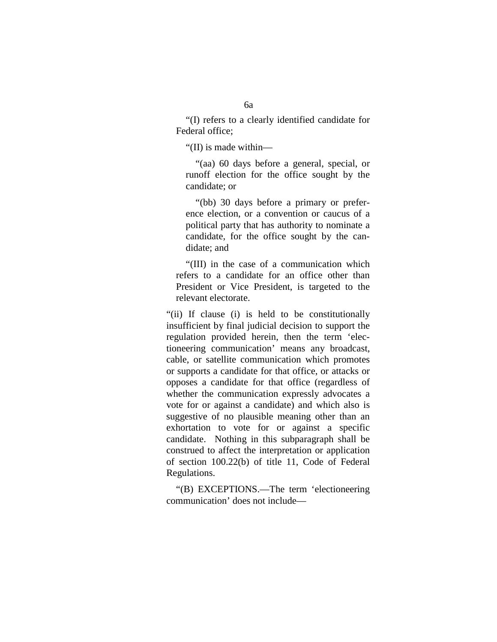"(I) refers to a clearly identified candidate for Federal office;

"(II) is made within—

"(aa) 60 days before a general, special, or runoff election for the office sought by the candidate; or

"(bb) 30 days before a primary or preference election, or a convention or caucus of a political party that has authority to nominate a candidate, for the office sought by the candidate; and

"(III) in the case of a communication which refers to a candidate for an office other than President or Vice President, is targeted to the relevant electorate.

"(ii) If clause (i) is held to be constitutionally insufficient by final judicial decision to support the regulation provided herein, then the term 'electioneering communication' means any broadcast, cable, or satellite communication which promotes or supports a candidate for that office, or attacks or opposes a candidate for that office (regardless of whether the communication expressly advocates a vote for or against a candidate) and which also is suggestive of no plausible meaning other than an exhortation to vote for or against a specific candidate. Nothing in this subparagraph shall be construed to affect the interpretation or application of section 100.22(b) of title 11, Code of Federal Regulations.

"(B) EXCEPTIONS.—The term 'electioneering communication' does not include—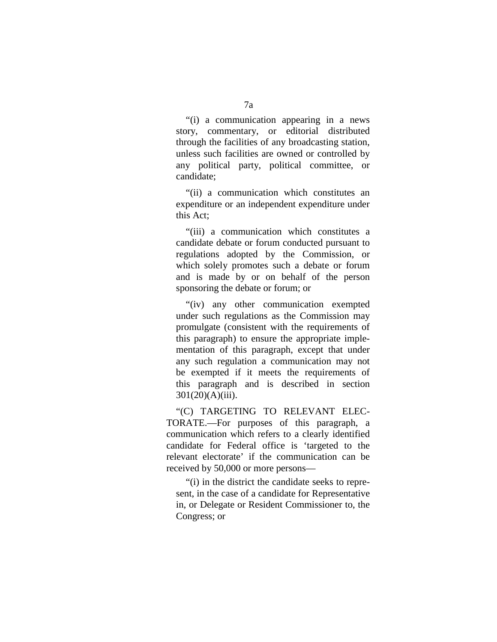"(i) a communication appearing in a news story, commentary, or editorial distributed through the facilities of any broadcasting station, unless such facilities are owned or controlled by any political party, political committee, or candidate;

"(ii) a communication which constitutes an expenditure or an independent expenditure under this Act;

"(iii) a communication which constitutes a candidate debate or forum conducted pursuant to regulations adopted by the Commission, or which solely promotes such a debate or forum and is made by or on behalf of the person sponsoring the debate or forum; or

"(iv) any other communication exempted under such regulations as the Commission may promulgate (consistent with the requirements of this paragraph) to ensure the appropriate implementation of this paragraph, except that under any such regulation a communication may not be exempted if it meets the requirements of this paragraph and is described in section 301(20)(A)(iii).

"(C) TARGETING TO RELEVANT ELEC-TORATE.—For purposes of this paragraph, a communication which refers to a clearly identified candidate for Federal office is 'targeted to the relevant electorate' if the communication can be received by 50,000 or more persons—

"(i) in the district the candidate seeks to represent, in the case of a candidate for Representative in, or Delegate or Resident Commissioner to, the Congress; or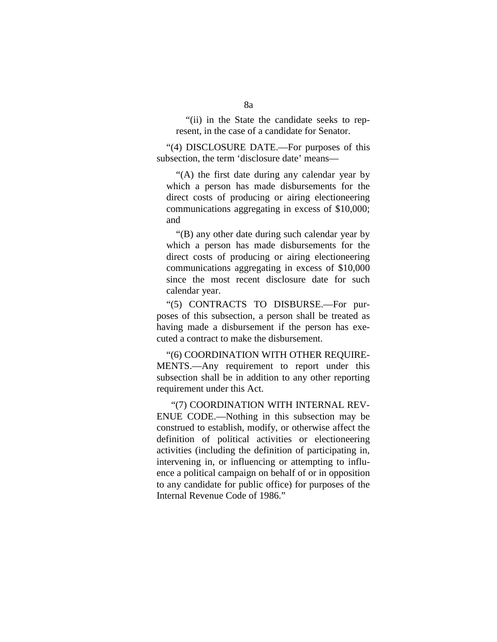"(ii) in the State the candidate seeks to represent, in the case of a candidate for Senator.

"(4) DISCLOSURE DATE.—For purposes of this subsection, the term 'disclosure date' means—

"(A) the first date during any calendar year by which a person has made disbursements for the direct costs of producing or airing electioneering communications aggregating in excess of \$10,000; and

"(B) any other date during such calendar year by which a person has made disbursements for the direct costs of producing or airing electioneering communications aggregating in excess of \$10,000 since the most recent disclosure date for such calendar year.

"(5) CONTRACTS TO DISBURSE.—For purposes of this subsection, a person shall be treated as having made a disbursement if the person has executed a contract to make the disbursement.

"(6) COORDINATION WITH OTHER REQUIRE-MENTS.—Any requirement to report under this subsection shall be in addition to any other reporting requirement under this Act.

"(7) COORDINATION WITH INTERNAL REV-ENUE CODE.—Nothing in this subsection may be construed to establish, modify, or otherwise affect the definition of political activities or electioneering activities (including the definition of participating in, intervening in, or influencing or attempting to influence a political campaign on behalf of or in opposition to any candidate for public office) for purposes of the Internal Revenue Code of 1986."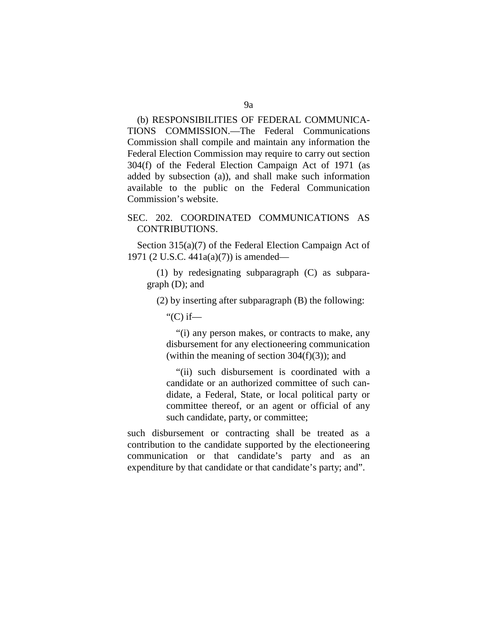## (b) RESPONSIBILITIES OF FEDERAL COMMUNICA-TIONS COMMISSION.—The Federal Communications Commission shall compile and maintain any information the Federal Election Commission may require to carry out section 304(f) of the Federal Election Campaign Act of 1971 (as added by subsection (a)), and shall make such information available to the public on the Federal Communication Commission's website.

## SEC. 202. COORDINATED COMMUNICATIONS AS CONTRIBUTIONS.

Section 315(a)(7) of the Federal Election Campaign Act of 1971 (2 U.S.C. 441a(a)(7)) is amended—

(1) by redesignating subparagraph (C) as subparagraph (D); and

(2) by inserting after subparagraph (B) the following:

" $(C)$  if—

"(i) any person makes, or contracts to make, any disbursement for any electioneering communication (within the meaning of section  $304(f)(3)$ ); and

"(ii) such disbursement is coordinated with a candidate or an authorized committee of such candidate, a Federal, State, or local political party or committee thereof, or an agent or official of any such candidate, party, or committee;

such disbursement or contracting shall be treated as a contribution to the candidate supported by the electioneering communication or that candidate's party and as an expenditure by that candidate or that candidate's party; and".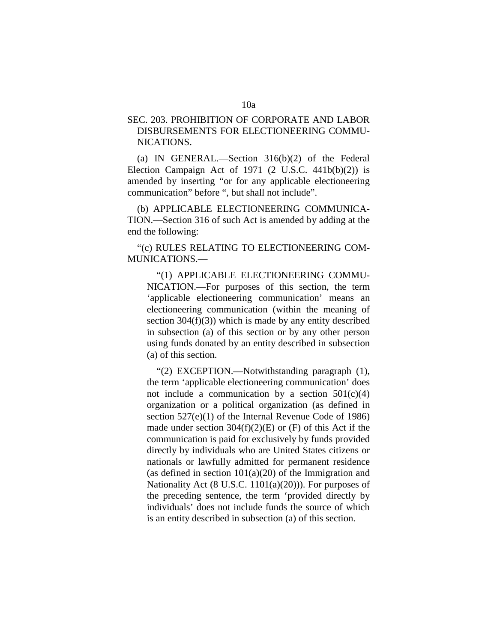## SEC. 203. PROHIBITION OF CORPORATE AND LABOR DISBURSEMENTS FOR ELECTIONEERING COMMU-NICATIONS.

(a) IN GENERAL.—Section 316(b)(2) of the Federal Election Campaign Act of  $1971$  (2 U.S.C.  $441b(b)(2)$ ) is amended by inserting "or for any applicable electioneering communication" before ", but shall not include".

(b) APPLICABLE ELECTIONEERING COMMUNICA-TION.—Section 316 of such Act is amended by adding at the end the following:

"(c) RULES RELATING TO ELECTIONEERING COM-MUNICATIONS.—

"(1) APPLICABLE ELECTIONEERING COMMU-NICATION.—For purposes of this section, the term 'applicable electioneering communication' means an electioneering communication (within the meaning of section  $304(f)(3)$ ) which is made by any entity described in subsection (a) of this section or by any other person using funds donated by an entity described in subsection (a) of this section.

"(2) EXCEPTION.—Notwithstanding paragraph (1), the term 'applicable electioneering communication' does not include a communication by a section  $501(c)(4)$ organization or a political organization (as defined in section 527(e)(1) of the Internal Revenue Code of 1986) made under section  $304(f)(2)(E)$  or  $(F)$  of this Act if the communication is paid for exclusively by funds provided directly by individuals who are United States citizens or nationals or lawfully admitted for permanent residence (as defined in section  $101(a)(20)$  of the Immigration and Nationality Act  $(8 \text{ U.S.C. } 1101(a)(20))$ . For purposes of the preceding sentence, the term 'provided directly by individuals' does not include funds the source of which is an entity described in subsection (a) of this section.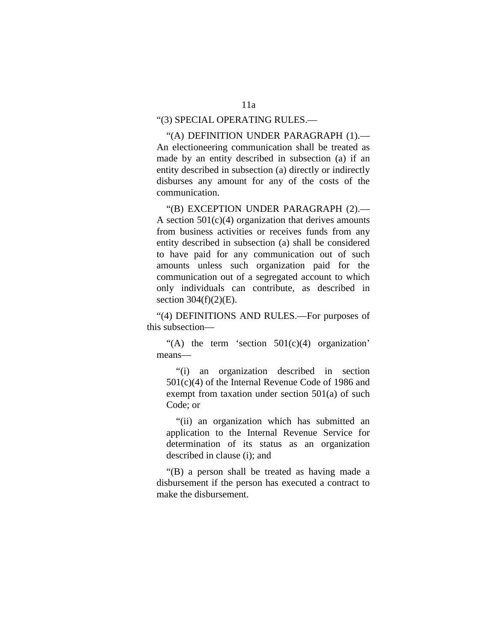#### "(3) SPECIAL OPERATING RULES.—

"(A) DEFINITION UNDER PARAGRAPH (1).— An electioneering communication shall be treated as made by an entity described in subsection (a) if an entity described in subsection (a) directly or indirectly disburses any amount for any of the costs of the communication.

"(B) EXCEPTION UNDER PARAGRAPH (2).— A section  $501(c)(4)$  organization that derives amounts from business activities or receives funds from any entity described in subsection (a) shall be considered to have paid for any communication out of such amounts unless such organization paid for the communication out of a segregated account to which only individuals can contribute, as described in section  $304(f)(2)(E)$ .

"(4) DEFINITIONS AND RULES.—For purposes of this subsection—

"(A) the term 'section  $501(c)(4)$  organization' means—

"(i) an organization described in section 501(c)(4) of the Internal Revenue Code of 1986 and exempt from taxation under section 501(a) of such Code; or

"(ii) an organization which has submitted an application to the Internal Revenue Service for determination of its status as an organization described in clause (i); and

"(B) a person shall be treated as having made a disbursement if the person has executed a contract to make the disbursement.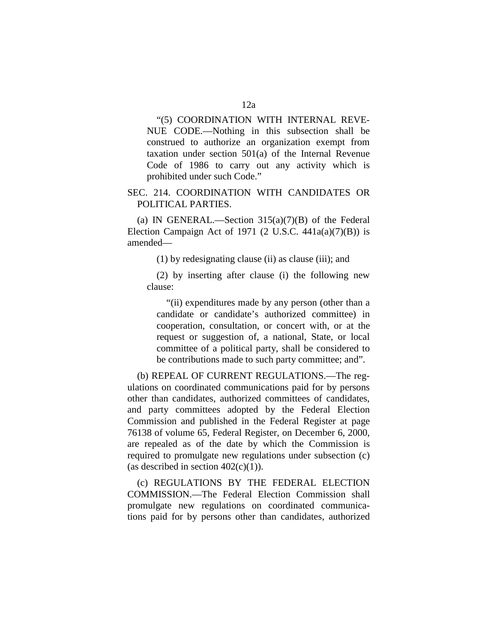"(5) COORDINATION WITH INTERNAL REVE-NUE CODE.—Nothing in this subsection shall be construed to authorize an organization exempt from taxation under section 501(a) of the Internal Revenue Code of 1986 to carry out any activity which is prohibited under such Code."

## SEC. 214. COORDINATION WITH CANDIDATES OR POLITICAL PARTIES.

(a) IN GENERAL.—Section  $315(a)(7)(B)$  of the Federal Election Campaign Act of 1971 (2 U.S.C.  $441a(a)(7)(B)$ ) is amended—

(1) by redesignating clause (ii) as clause (iii); and

(2) by inserting after clause (i) the following new clause:

"(ii) expenditures made by any person (other than a candidate or candidate's authorized committee) in cooperation, consultation, or concert with, or at the request or suggestion of, a national, State, or local committee of a political party, shall be considered to be contributions made to such party committee; and".

(b) REPEAL OF CURRENT REGULATIONS.—The regulations on coordinated communications paid for by persons other than candidates, authorized committees of candidates, and party committees adopted by the Federal Election Commission and published in the Federal Register at page 76138 of volume 65, Federal Register, on December 6, 2000, are repealed as of the date by which the Commission is required to promulgate new regulations under subsection (c) (as described in section  $402(c)(1)$ ).

(c) REGULATIONS BY THE FEDERAL ELECTION COMMISSION.—The Federal Election Commission shall promulgate new regulations on coordinated communications paid for by persons other than candidates, authorized